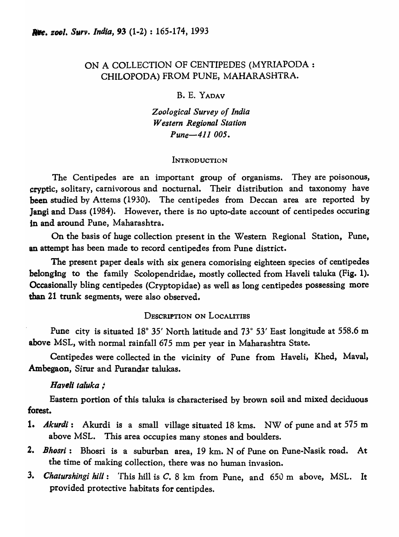# ON A COLLECTION OF CENTIPEDES (MYRIAPODA : CHILOPODA) FROM PUNE, MAHARASHTRA.

B. E. YADAV

*Zoological Survey of India Western Regional Station Pune-411 005.* 

### **INTRODUCTION**

The Centipedes are an important group of organisms. They are poisonous, cryptic, solitary, carnivorous and nocturnal. Their distribution and taxonomy have been studied by Attems (1930). The centipedes from Deccan area are reported by Jangi and Dass (1984). However, there is no upto-date account of centipedes occuring in and around Pune, Maharashtra.

On the basis of huge collection present in the Western Regional Station, Pune, an attempt has been made to record centipedes from Pune district.

The present paper deals with six genera comorising eighteen species of centipedes belonging to the family Scolopendridae, mostly collected from Haveli taluka (Fig. 1). Occasionally bling centipedes (Cryptopidae) as well as long centipedes possessing more than 21 trunk segments, were also observed.

## DESCRIPTION ON LOCALITIES

Pune city is situated  $18^{\circ}$  35' North latitude and  $73^{\circ}$  53' East longitude at 558.6 m above MSL, with normal rainfall 675 mm per year in Maharashtra State.

Centipedes were collected in the vicinity of Pune from Haveli, Khed, Maval, Ambegaon, Sirur and Purandar talukas.

## *Haveli taluka ;*

Eastern portion of this taluka is characterised by brown soil and mixed deciduous forest.

- 1. *Akurdi:* Akurdi is a small village situated 18 kms. NW of pune and at 575 m above MSL. This area occupies many stones and boulders.
- 2. *Bhosri*: Bhosri is a suburban area, 19 km. N of Pune on Pune-Nasik road. At the time of making collection, there was no human invasion.
- 3. Chaturshingi hill: This hill is C. 8 km from Pune, and 650 m above, MSL. It provided protective habitats for centipdes.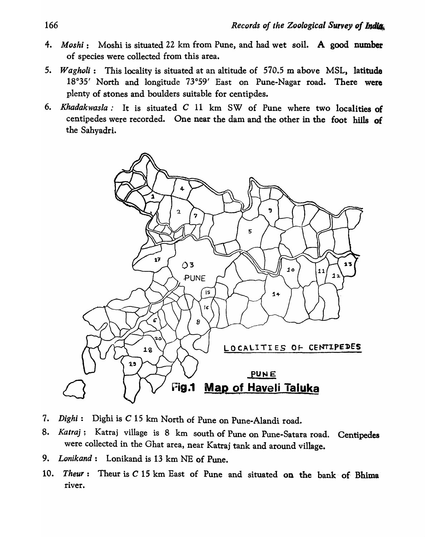- 4. *Moshi:* Moshi is situated 22 km from Pune, and had wet soil. A good number of species were collected from this area.
- 5. *Wagholi:* This locality is situated at an altitude of 570.5 m above MSL, latitude 18°35' North and longitude 73°59' East on Pune-Nagar road. There were plenty of stones and boulders suitable for centipdes.
- 6. *Khadakwasla:* It is situated C 11 km SW of Pune where two localities of centipedes were recorded. One near the dam and the other in the foot hills of the Sahyadri.



- 7. *Dighi:* Dighi is C 15 km North of Pune on Pune-Alandi road.
- 8. *Katraj;* Katraj village is 8 km south of Pune on Pune-Satara road. Centipedes were collected in the Ghat area, near Katraj tank and around village.
- 9. *Lonikand:* Lonikand is 13 km NE of Pune.
- 10. *Theur*: Theur is C 15 km East of Pune and situated on the bank of Bhima river.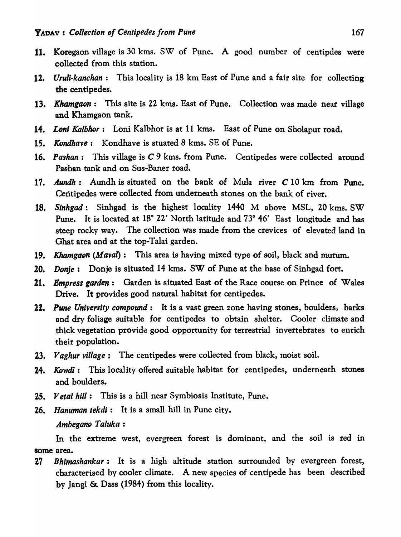- 11. Koregaon village is 30 kms. SW of Pune. A good number of centipdes were collected from this station.
- 12. *Uruli-kanchan:* This locality is 18 km East of Pune and a fair site for collecting the centipedes.
- 13. *Khamgaon:* This site is 22 kms. East of Pune. Collection was made near village and Khamgaon tank.
- 14. *Loni Kalbhor:* Loni Kalbhor is at 11 kms. East of Pune on Sholapur road.
- 15. *Kondhave:* Kondhave is stuated 8 kms. SE of Pune.
- 16. *Pashan:* This village is C 9 kms. from Pune. Centipedes were collected around Pashan tank and on Sus-Baner road.
- 17. *Aundh:* Aundh is situated on the bank of Mula river C 10 km from Pune. Centipedes were collected from underneath stones on the bank of river.
- 18. *Sinhgad:* Sinhgad is the highest locality 1440 M above MSL, 20 kms. SW Pune. It is located at 18° 22' North latitude and 73° 46' East longitude and has steep rocky way. The collection was made from the crevices of elevated land in Ghat area and at the top-Talai garden.
- 19. *Khamgaon (Maval):* This area is having mixed type of soil, black and murum.
- 20. *Donje:* Donje is situated 14 kms. SW of Pune at the base of Sinhgad fort.
- 21. *Empress garden:* Garden is situated East of the Race course on Prince of Wales Drive. It provides good natural habitat for centipedes.
- 2!. *Pune University compound:* It is a vast green zone having stones, boulders, barks and dry foliage suitable for centipedes to obtain shelter. Cooler climate and thick vegetation provide good opportunity for terrestrial invertebrates to enrich their population.
- *23. Vaghur village;* The centipedes were collected from black, moist soil.
- 24. *Kowdi*: This locality offered suitable habitat for centipedes, underneath stones and boulders.
- 25. *Vetal hill:* This is a hill near Symbiosis Institute, Pune.
- 26. Hanuman tekdi: It is a small hill in Pune city.

### *Ambegano Taluka:*

In the extreme west, evergreen forest is dominant, and the soil is red in some area.

27 *Bhimashankar:* It is a high altitude station surrounded by evergreen forest, characterised by cooler climate. A new species of centipede has been described .by Jangi &. Dass (1984) from this locality.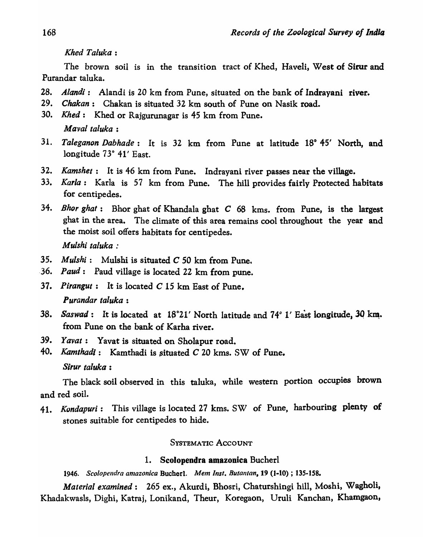*Khed Taluka :* 

The brown soil is in the transition tract of Khed, Haveli, West of Sirur and Purandar taluka.

- *2B. Aland;:* Alandi is 20 km from Pune, situated on the bank of Indrayani river.
- 29. *Chakan:* Chakan is situated 32 km south of Pune on Nasik road.
- 30. *Khed:* Khed or Rajgurunagar is 45 km from Pune. *Maval taluka :*
- 31. Taleganon Dabhade: It is 32 km from Pune at latitude 18°45' North, and longitude 73° 41' East.
- 32. *Kamshet*: It is 46 km from Pune. Indrayani river passes near the village.
- 33. *Karla:* Karla is 57 km from Pune. The hill provides fairly Protected habitats for centipedes.
- *34. Rhor ghat:* Bhor ghat of Khandala ghat C 68 kms. from Pune, is the largest ghat in the area. The climate of this area remains cool throughout the year and the moist soil offers habitats for centipedes. *Mulshi taluka :*
- 35. *Mulshi:* Mulshi is situated C 50 km from Pune.
- ·36. *Paud:* Paud village is located 22 km from pune.
- 37. *Pirangut:* It is located C 15 km East of Pune. *Purandar taluka :*
- 38. *Saswad*: It is located at 18°21' North latitude and 74° 1' East longitude, 30 km. from Pune on the bank of Karha river.
- 39. *Yavat:* Yavat is situated on Sholapur road.
- 40. *Kamthadi*: Kamthadi is situated C 20 kms. SW of Pune.

*Sirur taluka :* 

The black soil observed in this taluka, while western portion occupies brown and red soil.

41. *Kundapuri:* This village is located 27 kms. SW of Pune, harbouring plenty of stones suitable for centipedes to hide.

# SYSTEMATIC ACCOUNT

# 1. Scolopendra amazonica Bucherl

*1946. Scolopendra anlazonica* Bucherl. *Mem Inst. BUlantan,* 19 (1-10) ; 135-158.

*Material examined:* 265 ex., Akurdi, Bhosri, Chaturshingi hill, Moshi, Wagholi, Khadakwasls, Dighi, Katraj, Lonikand, Theur, Koregaon, Uruli Kanchan, Khamgaon,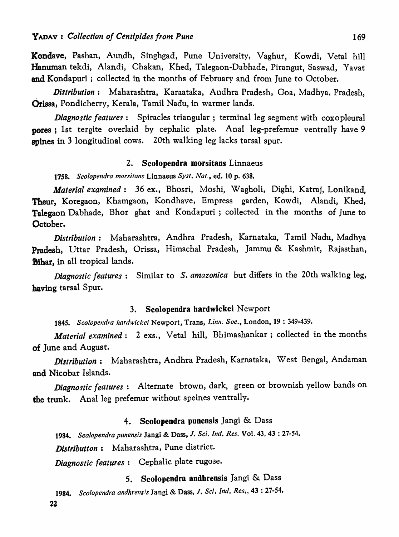Kondave, Pashan, Aundh, Singhgad, Pune University, Vaghur, Kowdi, Vetal hill Hanuman tekdi, Alandi, Chakan, Khed, Talegaon-Dabhade, Pirangut, Saswad, Yavat and Kondapuri ; collected in the months of February and from June to October.

. *Distribution:* Maharashtra, Karaataka, Alldhra Pradesh, Goa, Madhya, Pradesh, Orissa, Pondicherry, Kerala, Tamil Nadu, in warmer lands.

*Diagnostic features:* Spiracles triangular; terminal leg segment with coxopleural pores; 1st tergite overlaid by cephalic plate. Anal leg-prefemur ventrally have 9 spines in 3 longitudinal cows. 20th walking leg lacks tarsal spur.

### 2. Scolopendra morsitans Linnaeus

1758. Scolopendra morsitans Linnaeus Syst. Nat., ed. 10 p. 638.

*Material examined:* 36 ex., Bhosri, Moshi, Wagholi, Dighi, Katraj, Lonikand, Theur, Koregaon, Khamgaon, Kondhave, Empress garden, Kowdi, Alandi, Khed, Talegaon Dabhade, Bhor ghat and Kondapuri; collected in the months of June to October.

*Distribution:* Maharashtra, Andhra Pradesh, Karnataka, Tamil Nadu, Madhya Pradesh, Uttar Pradesh, Orissa, Himachal Pradesh, Jammu & Kashmir, Rajasthan, BIhar, in all tropical lands.

*Diagnostic features:* Similar to s. *amazonica* but differs in the 20th walking leg, having tarsal Spur.

## 3. Scolopendra hardwickei Newport

1845. Scolopendra hardwickei Newport, Trans, Linn. Soc., London, 19: 349-439.

*Material examined:* 2 exs., Vetal hill, Bhimashankar; collected in the months of June and August.

*Distribution:* Maharashtra, Andhra Pradesh, Karnataka, West Bengal, Andaman and Nicobar Islands.

*Diagnostic features:* Alternate brown, dark, green or brownish yellow bands on the trunk. Anal leg prefemur without speines ventrally.

#### 4. Scolopendra punensis Jangi  $\&$  Dass

*1984. Scalopendra punensis* Jangi & Dass, J. *Sci. Ind. Res.* Vol. 43, 43 : 27-54.

*Distributton:* Maharashtra, Pune district.

*Diagnostic features:* Cephalic plate rugose.

# 5. Scolopendra andhrensis Jangi & Dass

*1984. Scolopendra andhrensis* Jangi & Dass, J, *Sci, Ind, Res.,* 43 : 27-54.

22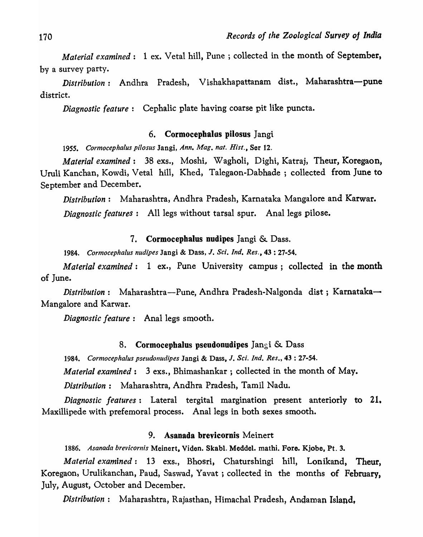*Material examined*: 1 ex. Vetal hill, Pune; collected in the month of September, by a survey party.

*Distribution:* Andhra Pradesh, Vishakhapattanam dist., Maharashtra-pune district.

*Diagnostic feature:* Cephalic plate having coarse pit like puncta.

# 6. Cormocephalus pilosus Jangi

*1955. COl'mocepha!us pilosus* Jangi, *Ann. Mag. nat. Hisl.,* Ser 12.

*Material examined:* 38 exs., Moshi, Wagholi, Dighi, Katraj, Theur, Koregaon, Uruli Kanchan, Kowdi, Vetal hill, Khed, Talegaon-Dabhade ; collected from June to September and December.

*Distribution:* Maharashtra, Andhra Pradesh, Karnataka Mangalore and Karwar. *Diagnostic features:* All legs without tarsal spur. Anal legs pilose.

### 7. Cormocephalus nudipes Jangi & Dass.

*1984. Cormocephalus nudipes* Jangi & Dass, J. *Sci. Ind. Res.,* 43 : 27-54.

*Material examined*: 1 ex., Pune University campus; collected in the month of June.

*Distribution:* Maharashtra-Pune, Andhra Pradesh-Nalgonda dist; Karnataka-Mangalore and Karwar.

*Diagnostic feature:* Anal legs smooth.

### 8. Cormocephalus pseudonudipes Jangi  $\&$  Dass

*1984. Cormocephalus pseudonudipes* Jangi & Dass, J. *Sci. Ind. Res.,* 43 : 27-54. *Material examined:* 3 exs., Bhimashankar ; collected in the month of May.

*Distribution:* Maharashtra, Andhra Pradesh, Tamil Nadu.

*Diagnostic features:* Lateral tergital margination present anteriorly to 21. Maxillipede with prefemoral process. Anal legs in both sexes smooth.

# 9. Asanada brevicornis Meinert

*1886. Asanada brevicornis* Meinert, Viden. Skabl. Meddel. mathi. Fore. Kjobe, Pt. 3.

*Material examined:* 13 exs., Bhosri, Chaturshingi hill, Lonikand, Theur, Koregaon, Urulikanchan, Paud, Saswad, Yavat ; collected in the months of February, July, August, October and December.

*Distribution:* Maharashtra, Rajasthan, Himachal Pradesh, Andaman Island,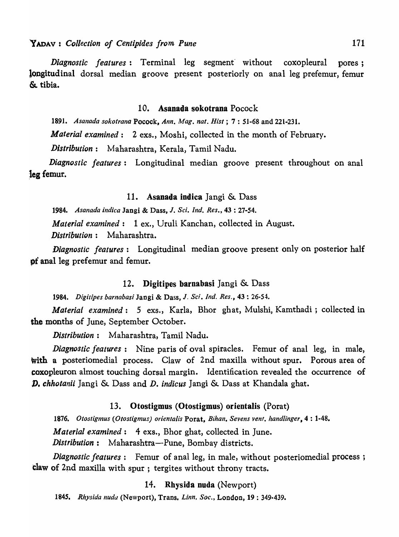*Diagnostic features*: Terminal leg segment without coxopleural pores; longitudinal dorsal median groove present posteriorly on anal leg prefemur, femur  $&$  tibia.

#### 10. Asanada sokotrana Pocock

*1891. Asallada sokotranQ* Pocock, *Ann. Mag. nat. Hist* ; 7 : 51-68 and 221-231.

*Material examined:* 2 exs., Moshi, collected in the month of February.

*Distribution:* Maharashtra, Kerala, Tamil Nadu.

*Diagnostic features:* Longitudinal median groove present throughout on anal Jeg femur.

### 11. Asanada indica Jangi  $\&$  Dass

*1984. Asanada indica* Jangi & Dass, J. *Sci. Ind. Res.,* 43 : 27-54. *Material examined:* 1 ex., Uruli Kanchan, collected in August. *Distribution:* Maharashtra.

*Diagnostic features:* Longitudinal median groove present only on posterior half **pf** anal leg prefemur and femur.

### 12. Digitipes barnabasi Jangi  $\&$  Dass

*1984. Digitipes barnabas;* Jangi & Dass, *J. Sci. Ind. Res.,* 43 : 26-54.

*Material examined:* 5 exs., Karla, Bhor ghat, Mulshi, Kamthadi ; collected in the months of June, September October.

*Distribution:* Maharashtra, Tamil Nadu.

*Diagnostic features:* Nine paris of oval spiracles. Femur of anal leg, in male, with a posteriomedial process. Claw of 2nd maxilla without spur. Porous area of coxopleuron almost touching dorsal margin. Identification revealed the occurrence of D. *chhotanii* Jangi & Dass and *D. indicus* Jangi & Dass at Khandala ghat.

#### 13. Otostigmus (Otostigmus) orientalis (Porat)

1876. Otostigmus (Otostigmus) orientalis Porat, *Bihan*, Sevens vent. handlinger, 4: 1-48. *Material examined:* 4 exs., Bhor ghat, collected in June. *Distribution:* Maharashtra-Pune, Bombay districts.

*Diagnostic features*: Femur of anal leg, in male, without posteriomedial process; claw of 2nd maxilla with spur; tergites without throny tracts.

### 14. Rhysida nuda (Newport)

*1845. Rhysida Iluda* (Newport), Trans. *Linn. Soc.,* London, 19 : 349-439.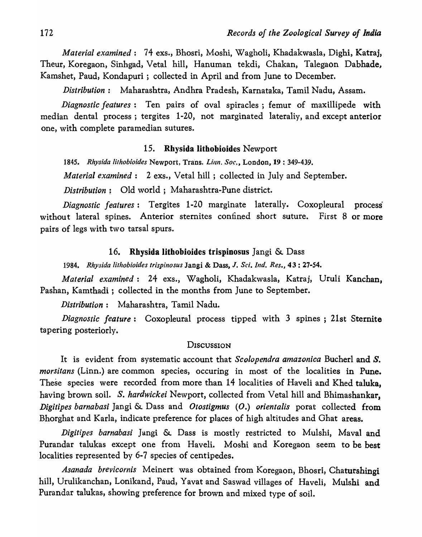*Material examined:* 74 exs., Bhosri, Moshi, Wagholi, Khadakwasla, Dighi, Katraj, Theur, Koregaon, Sinhgad, Vetal hill, Hanuman tekdi, Chakan, Talegaon Dabhade, Kamshet, Paud, Kondapuri ; collected in April and from June to December.

*Distribution:* Maharashtra, Andhra Pradesh, Karnataka, Tamil Nadu, Assam.

*Diagnostic features:* Ten pairs of oval spiracles; femur of maxillipede with median dental process; tergites 1-20, not marginated lateraliy, and except anterior one, with complete paramedian sutures.

## 15. Rhysida Iithobioides Newport

1845. Rhysida lithobioides Newport, Trans. *Linn. Soc.*, London, 19: 349-439.

*Material examined*: 2 exs., Vetal hill; collected in July and September.

*Distribution;* Old world; Maharashtra-Pune district.

*Diagnostic features:* Tergites 1-20 marginate laterally. Coxopleural process without lateral spines. Anterior sternites confined short suture. First 8 or more pairs of legs with two tarsal spurs.

### 16. Rhysida lithobioides trispinosus Jangi  $\&$  Dass

*1984. Rhysida Iitlzobioides trispinosus* Jangi & Dass, J. *Sci. Ind. Res.,* 43 : 27-54.

*Material examined:* 24 exs., Wagholi, Khadakwasla, Katraj, Uruli Kanchan, Pashan, Kamthadi; collected in the months from June to September.

*Distribution:* Maharashtra, Tamil Nadu.

*Diagnostic feature:* Coxopleural process tipped with 3 spines; 21st Sternite tapering posteriorly.

### **DISCUSSION**

It is evident from systematic account that *Scolopendra amazonica* Bucherl and *S. morsitans* (Linn.) are common species, occuring in most of the localities in Pune. These species were recorded from more than 14 localities of Haveli and Khed taluka, having brown soil. S. *hardwickei* Newport, collected from Vetal hill and Bhimashankar, *Digitipes barnabasi* Jangi & Dass and *Otostigmus (O.) orientalis* porat collected from Bhorghat and Karla, indicate preference for places of high altitudes and Ghat areas.

*Digitipes barnabasi* Jangi & Dass is mostly restricted to Mulshi, Maval and Purandar talukas except one from Haveli. Moshi and Koregaon seem to be best localities represented by 6-7 species of centipedes.

*Asanada brevicornis* Meinert was obtained from Koregaon, Bhosri, Chaturshingi hill, Urulikanchan, Lonikand, Paud, Yavat and Saswad villages of Haveli, Mulshi and Purandar talukas, showing preference for brown and mixed type of soil.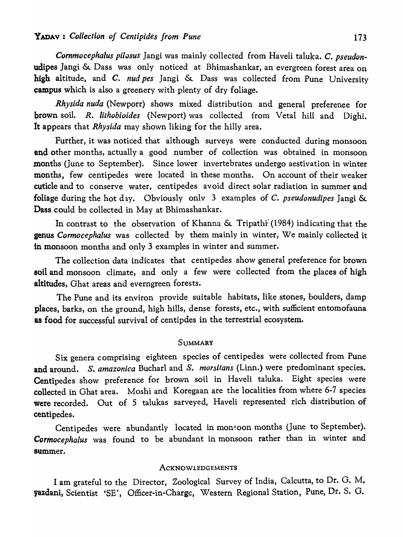Cornmocephalus pilosus Jangi was mainly collected from Haveli taluka. C. pseudonudipes Jangi & Dass was only noticed at Bhimashankar, an evergreen forest area on higb altitude, and C. *nud pes* ]angi & Dass was collected from Pune University campus which is also a greenery with plenty of dry foliage.

*Rhysida nuda* (Newporr) shows mixed distribution and general preferenee for brown soil. *R. lithobioides* (Newport) was collected from Vetal hill and Dighi. It appears that *Rhysida* may shown liking for the hilly area.

Further, it was noticed that although surveys were conducted during monsoon and other months, actually a good number of collection was obtained in monsoon months (June to September). Since lower invertebrates undergo aestivation in winter months, few centipedes were located in these months. On account of their weaker cuticle and to conserve water, centipedes avoid direct solar radiation in summer and foliage during the hot day. Obviously only 3 examples of C. *pseudonudipes* Jangi & Dass could be collected in May at Bhimashankar.

In contrast to the observation of Khanna & Tripathi (1984) indicating that the genus *Cormocephalus* was collected by them mainly in winter, We mainly collected it in monsoon months and only 3 examples in winter and summer.

The collection data indicates that centipedes show general preference for brown soil and monsoon climate, and only a few were collected from the places of high altitudes, Ghat areas and everngreen forests.

The Pune and its environ provide suitable habitats, like stones, boulders, damp places, barks, on the ground, high hills, dense forests, etc., with sufficient entomofauna as food for successful survival of centipdes in the terrestrial ecosystem.

### **SUMMARY**

Six genera comprising eighteen species of centipedes were collected from Pune and around. S. *amazonica* Bucharl and S. *morsitans* (Linn.) were predominant species. Centipedes show preference for brown soil in Haveli taluka. Eight species were collected in Ghat area. Moshi and Koregaan are the localities from where 6-7 species were recorded. Out of 5 talukas sarveyed, Haveli represented rich distribution of centipedes.

Centipedes were abundantly located in monsoon months (June to September). *Cormocephalus* was found to be abundant in monsoon rather than in winter and summer.

#### **ACKNOWLEDGEMENTS**

I am grateful to the Director, Zoological Survey of India, Calcutta, to Dr. G. M. . vazdani, Scientist 'SE', Officer-in-Chargc, Western Regional Station, Pune, Dr. S. G.